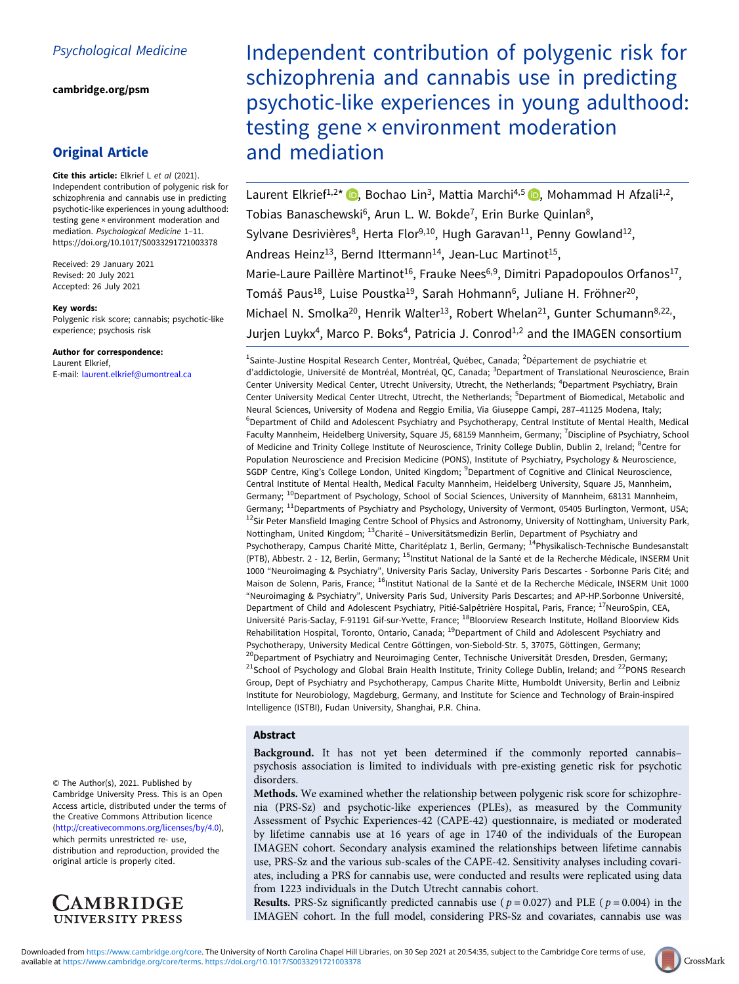[cambridge.org/psm](https://www.cambridge.org/psm)

# Original Article

Cite this article: Elkrief L et al (2021). Independent contribution of polygenic risk for schizophrenia and cannabis use in predicting psychotic-like experiences in young adulthood: testing gene × environment moderation and mediation. Psychological Medicine 1–11. <https://doi.org/10.1017/S0033291721003378>

Received: 29 January 2021 Revised: 20 July 2021 Accepted: 26 July 2021

### Key words:

Polygenic risk score; cannabis; psychotic-like experience; psychosis risk

Author for correspondence: Laurent Elkrief, E-mail: [laurent.elkrief@umontreal.ca](mailto:laurent.elkrief@umontreal.ca)

© The Author(s), 2021. Published by Cambridge University Press. This is an Open Access article, distributed under the terms of the Creative Commons Attribution licence (<http://creativecommons.org/licenses/by/4.0>), which permits unrestricted re- use, distribution and reproduction, provided the original article is properly cited.



Independent contribution of polygenic risk for schizophrenia and cannabis use in predicting psychotic-like experiences in young adulthood: testing gene × environment moderation and mediation

Laurent Elkrief<sup>1,2\*</sup> (D, Bochao Lin<sup>3</sup>, Mattia Marchi<sup>4,5</sup> (D, Mohammad H Afzali<sup>1,2</sup>, Tobias Banaschewski<sup>6</sup>, Arun L. W. Bokde<sup>7</sup>, Erin Burke Quinlan<sup>8</sup>, Sylvane Desrivières<sup>8</sup>, Herta Flor<sup>9,10</sup>, Hugh Garavan<sup>11</sup>, Penny Gowland<sup>12</sup>, Andreas Heinz<sup>13</sup>, Bernd Ittermann<sup>14</sup>, Jean-Luc Martinot<sup>15</sup>, Marie-Laure Paillère Martinot<sup>16</sup>, Frauke Nees<sup>6,9</sup>, Dimitri Papadopoulos Orfanos<sup>17</sup>, Tomáš Paus<sup>18</sup>, Luise Poustka<sup>19</sup>, Sarah Hohmann<sup>6</sup>, Juliane H. Fröhner<sup>20</sup>, Michael N. Smolka<sup>20</sup>, Henrik Walter<sup>13</sup>, Robert Whelan<sup>21</sup>, Gunter Schumann<sup>8,22,</sup>, Jurjen Luykx<sup>4</sup>, Marco P. Boks<sup>4</sup>, Patricia J. Conrod<sup>1,2</sup> and the IMAGEN consortium

<sup>1</sup>Sainte-Justine Hospital Research Center, Montréal, Québec, Canada; <sup>2</sup>Département de psychiatrie et d'addictologie, Université de Montréal, Montréal, QC, Canada; <sup>3</sup>Department of Translational Neuroscience, Brain Center University Medical Center, Utrecht University, Utrecht, the Netherlands; <sup>4</sup>Department Psychiatry, Brain Center University Medical Center Utrecht, Utrecht, the Netherlands; <sup>5</sup>Department of Biomedical, Metabolic and Neural Sciences, University of Modena and Reggio Emilia, Via Giuseppe Campi, 287–41125 Modena, Italy; <sup>6</sup>Department of Child and Adolescent Psychiatry and Psychotherapy, Central Institute of Mental Health, Medical Faculty Mannheim, Heidelberg University, Square J5, 68159 Mannheim, Germany; <sup>7</sup>Discipline of Psychiatry, School of Medicine and Trinity College Institute of Neuroscience, Trinity College Dublin, Dublin 2, Ireland; <sup>8</sup>Centre for Population Neuroscience and Precision Medicine (PONS), Institute of Psychiatry, Psychology & Neuroscience, SGDP Centre, King's College London, United Kingdom; <sup>9</sup>Department of Cognitive and Clinical Neuroscience, Central Institute of Mental Health, Medical Faculty Mannheim, Heidelberg University, Square J5, Mannheim, Germany; <sup>10</sup>Department of Psychology, School of Social Sciences, University of Mannheim, 68131 Mannheim, Germany; <sup>11</sup>Departments of Psychiatry and Psychology, University of Vermont, 05405 Burlington, Vermont, USA; <sup>12</sup>Sir Peter Mansfield Imaging Centre School of Physics and Astronomy, University of Nottingham, University Park, Nottingham, United Kingdom; 13Charité – Universitätsmedizin Berlin, Department of Psychiatry and Psychotherapy, Campus Charité Mitte, Charitéplatz 1, Berlin, Germany; <sup>14</sup>Physikalisch-Technische Bundesanstalt (PTB), Abbestr. 2 - 12, Berlin, Germany; <sup>15</sup>Institut National de la Santé et de la Recherche Médicale, INSERM Unit 1000 "Neuroimaging & Psychiatry", University Paris Saclay, University Paris Descartes - Sorbonne Paris Cité; and Maison de Solenn, Paris, France; <sup>16</sup>Institut National de la Santé et de la Recherche Médicale, INSERM Unit 1000 "Neuroimaging & Psychiatry", University Paris Sud, University Paris Descartes; and AP-HP.Sorbonne Université, Department of Child and Adolescent Psychiatry, Pitié-Salpêtrière Hospital, Paris, France; <sup>17</sup>NeuroSpin, CEA, Université Paris-Saclay, F-91191 Gif-sur-Yvette, France; <sup>18</sup>Bloorview Research Institute, Holland Bloorview Kids Rehabilitation Hospital, Toronto, Ontario, Canada; <sup>19</sup>Department of Child and Adolescent Psychiatry and Psychotherapy, University Medical Centre Göttingen, von-Siebold-Str. 5, 37075, Göttingen, Germany; <sup>20</sup>Department of Psychiatry and Neuroimaging Center, Technische Universität Dresden, Dresden, Germany; <sup>21</sup>School of Psychology and Global Brain Health Institute, Trinity College Dublin, Ireland; and <sup>22</sup>PONS Research Group, Dept of Psychiatry and Psychotherapy, Campus Charite Mitte, Humboldt University, Berlin and Leibniz Institute for Neurobiology, Magdeburg, Germany, and Institute for Science and Technology of Brain-inspired Intelligence (ISTBI), Fudan University, Shanghai, P.R. China.

# Abstract

Background. It has not yet been determined if the commonly reported cannabis– psychosis association is limited to individuals with pre-existing genetic risk for psychotic disorders.

Methods. We examined whether the relationship between polygenic risk score for schizophrenia (PRS-Sz) and psychotic-like experiences (PLEs), as measured by the Community Assessment of Psychic Experiences-42 (CAPE-42) questionnaire, is mediated or moderated by lifetime cannabis use at 16 years of age in 1740 of the individuals of the European IMAGEN cohort. Secondary analysis examined the relationships between lifetime cannabis use, PRS-Sz and the various sub-scales of the CAPE-42. Sensitivity analyses including covariates, including a PRS for cannabis use, were conducted and results were replicated using data from 1223 individuals in the Dutch Utrecht cannabis cohort.

**Results.** PRS-Sz significantly predicted cannabis use ( $p = 0.027$ ) and PLE ( $p = 0.004$ ) in the IMAGEN cohort. In the full model, considering PRS-Sz and covariates, cannabis use was

CrossMark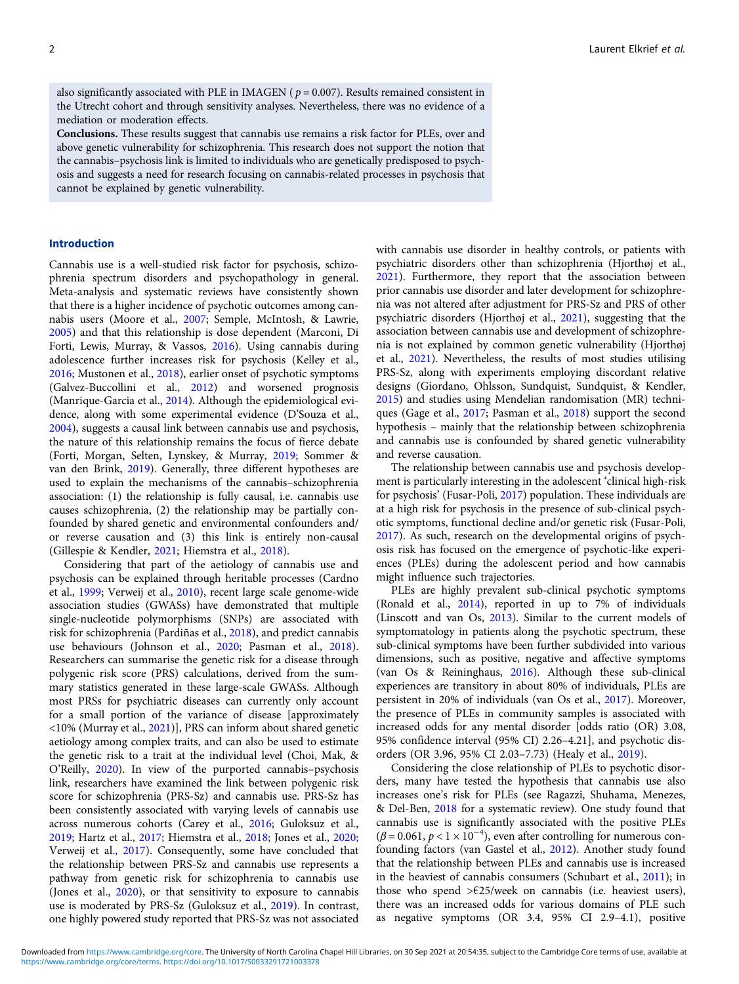also significantly associated with PLE in IMAGEN (  $p$  = 0.007). Results remained consistent in the Utrecht cohort and through sensitivity analyses. Nevertheless, there was no evidence of a mediation or moderation effects.

Conclusions. These results suggest that cannabis use remains a risk factor for PLEs, over and above genetic vulnerability for schizophrenia. This research does not support the notion that the cannabis–psychosis link is limited to individuals who are genetically predisposed to psychosis and suggests a need for research focusing on cannabis-related processes in psychosis that cannot be explained by genetic vulnerability.

# Introduction

Cannabis use is a well-studied risk factor for psychosis, schizophrenia spectrum disorders and psychopathology in general. Meta-analysis and systematic reviews have consistently shown that there is a higher incidence of psychotic outcomes among cannabis users (Moore et al., [2007](#page-9-0); Semple, McIntosh, & Lawrie, [2005\)](#page-10-0) and that this relationship is dose dependent (Marconi, Di Forti, Lewis, Murray, & Vassos, [2016](#page-9-0)). Using cannabis during adolescence further increases risk for psychosis (Kelley et al., [2016;](#page-9-0) Mustonen et al., [2018\)](#page-9-0), earlier onset of psychotic symptoms (Galvez-Buccollini et al., [2012](#page-8-0)) and worsened prognosis (Manrique-Garcia et al., [2014\)](#page-9-0). Although the epidemiological evidence, along with some experimental evidence (D'Souza et al., [2004\)](#page-8-0), suggests a causal link between cannabis use and psychosis, the nature of this relationship remains the focus of fierce debate (Forti, Morgan, Selten, Lynskey, & Murray, [2019](#page-8-0); Sommer & van den Brink, [2019\)](#page-10-0). Generally, three different hypotheses are used to explain the mechanisms of the cannabis–schizophrenia association: (1) the relationship is fully causal, i.e. cannabis use causes schizophrenia, (2) the relationship may be partially confounded by shared genetic and environmental confounders and/ or reverse causation and (3) this link is entirely non-causal (Gillespie & Kendler, [2021;](#page-8-0) Hiemstra et al., [2018](#page-9-0)).

Considering that part of the aetiology of cannabis use and psychosis can be explained through heritable processes (Cardno et al., [1999;](#page-8-0) Verweij et al., [2010\)](#page-10-0), recent large scale genome-wide association studies (GWASs) have demonstrated that multiple single-nucleotide polymorphisms (SNPs) are associated with risk for schizophrenia (Pardiñas et al., [2018](#page-9-0)), and predict cannabis use behaviours (Johnson et al., [2020;](#page-9-0) Pasman et al., [2018\)](#page-9-0). Researchers can summarise the genetic risk for a disease through polygenic risk score (PRS) calculations, derived from the summary statistics generated in these large-scale GWASs. Although most PRSs for psychiatric diseases can currently only account for a small portion of the variance of disease [approximately <10% (Murray et al., [2021\)](#page-9-0)], PRS can inform about shared genetic aetiology among complex traits, and can also be used to estimate the genetic risk to a trait at the individual level (Choi, Mak, & O'Reilly, [2020](#page-8-0)). In view of the purported cannabis–psychosis link, researchers have examined the link between polygenic risk score for schizophrenia (PRS-Sz) and cannabis use. PRS-Sz has been consistently associated with varying levels of cannabis use across numerous cohorts (Carey et al., [2016](#page-8-0); Guloksuz et al., [2019;](#page-8-0) Hartz et al., [2017](#page-9-0); Hiemstra et al., [2018;](#page-9-0) Jones et al., [2020](#page-9-0); Verweij et al., [2017](#page-10-0)). Consequently, some have concluded that the relationship between PRS-Sz and cannabis use represents a pathway from genetic risk for schizophrenia to cannabis use (Jones et al., [2020\)](#page-9-0), or that sensitivity to exposure to cannabis use is moderated by PRS-Sz (Guloksuz et al., [2019](#page-8-0)). In contrast, one highly powered study reported that PRS-Sz was not associated

with cannabis use disorder in healthy controls, or patients with psychiatric disorders other than schizophrenia (Hjorthøj et al., [2021\)](#page-9-0). Furthermore, they report that the association between prior cannabis use disorder and later development for schizophrenia was not altered after adjustment for PRS-Sz and PRS of other psychiatric disorders (Hjorthøj et al., [2021](#page-9-0)), suggesting that the association between cannabis use and development of schizophrenia is not explained by common genetic vulnerability (Hjorthøj et al., [2021\)](#page-9-0). Nevertheless, the results of most studies utilising PRS-Sz, along with experiments employing discordant relative designs (Giordano, Ohlsson, Sundquist, Sundquist, & Kendler, [2015\)](#page-8-0) and studies using Mendelian randomisation (MR) techniques (Gage et al., [2017;](#page-8-0) Pasman et al., [2018](#page-9-0)) support the second hypothesis – mainly that the relationship between schizophrenia and cannabis use is confounded by shared genetic vulnerability and reverse causation.

The relationship between cannabis use and psychosis development is particularly interesting in the adolescent 'clinical high-risk for psychosis' (Fusar-Poli, [2017\)](#page-8-0) population. These individuals are at a high risk for psychosis in the presence of sub-clinical psychotic symptoms, functional decline and/or genetic risk (Fusar-Poli, [2017\)](#page-8-0). As such, research on the developmental origins of psychosis risk has focused on the emergence of psychotic-like experiences (PLEs) during the adolescent period and how cannabis might influence such trajectories.

PLEs are highly prevalent sub-clinical psychotic symptoms (Ronald et al., [2014](#page-9-0)), reported in up to 7% of individuals (Linscott and van Os, [2013\)](#page-9-0). Similar to the current models of symptomatology in patients along the psychotic spectrum, these sub-clinical symptoms have been further subdivided into various dimensions, such as positive, negative and affective symptoms (van Os & Reininghaus, [2016\)](#page-10-0). Although these sub-clinical experiences are transitory in about 80% of individuals, PLEs are persistent in 20% of individuals (van Os et al., [2017](#page-10-0)). Moreover, the presence of PLEs in community samples is associated with increased odds for any mental disorder [odds ratio (OR) 3.08, 95% confidence interval (95% CI) 2.26–4.21], and psychotic disorders (OR 3.96, 95% CI 2.03–7.73) (Healy et al., [2019](#page-9-0)).

Considering the close relationship of PLEs to psychotic disorders, many have tested the hypothesis that cannabis use also increases one's risk for PLEs (see Ragazzi, Shuhama, Menezes, & Del-Ben, [2018](#page-9-0) for a systematic review). One study found that cannabis use is significantly associated with the positive PLEs  $(\beta = 0.061, p < 1 \times 10^{-4})$ , even after controlling for numerous confounding factors (van Gastel et al., [2012](#page-10-0)). Another study found that the relationship between PLEs and cannabis use is increased in the heaviest of cannabis consumers (Schubart et al., [2011\)](#page-9-0); in those who spend  $\geq \frac{25}{\text{week}}$  on cannabis (i.e. heaviest users), there was an increased odds for various domains of PLE such as negative symptoms (OR 3.4, 95% CI 2.9–4.1), positive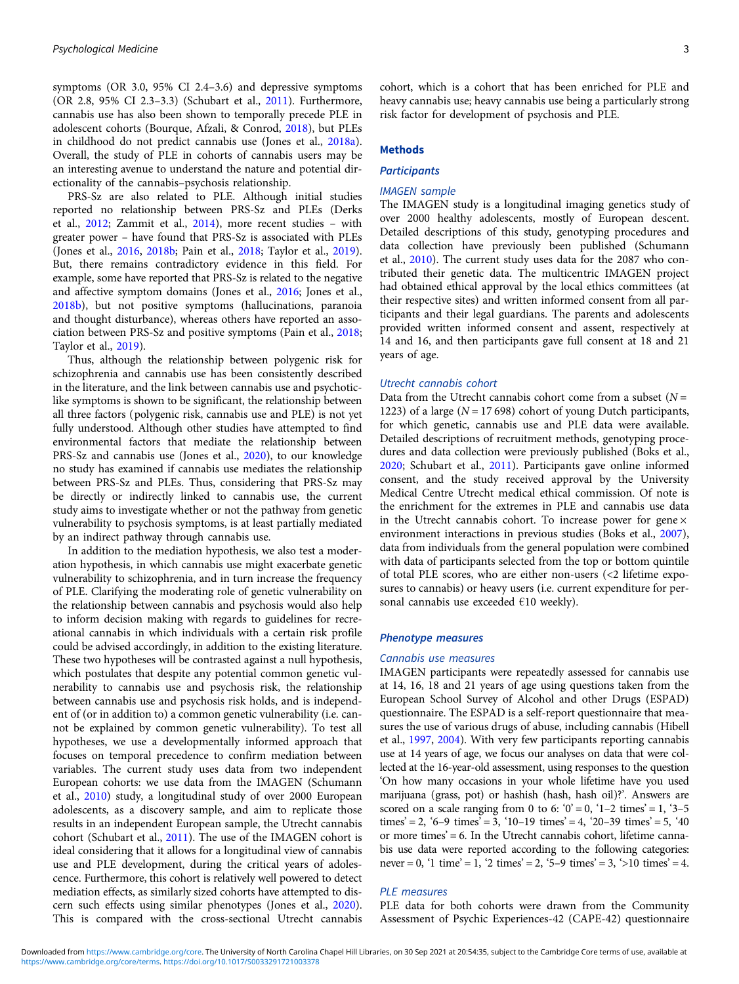symptoms (OR 3.0, 95% CI 2.4–3.6) and depressive symptoms (OR 2.8, 95% CI 2.3–3.3) (Schubart et al., [2011](#page-9-0)). Furthermore, cannabis use has also been shown to temporally precede PLE in adolescent cohorts (Bourque, Afzali, & Conrod, [2018](#page-8-0)), but PLEs in childhood do not predict cannabis use (Jones et al., [2018a\)](#page-9-0). Overall, the study of PLE in cohorts of cannabis users may be an interesting avenue to understand the nature and potential directionality of the cannabis–psychosis relationship.

PRS-Sz are also related to PLE. Although initial studies reported no relationship between PRS-Sz and PLEs (Derks et al., [2012](#page-8-0); Zammit et al., [2014\)](#page-10-0), more recent studies – with greater power – have found that PRS-Sz is associated with PLEs (Jones et al., [2016,](#page-9-0) [2018b](#page-9-0); Pain et al., [2018](#page-9-0); Taylor et al., [2019\)](#page-10-0). But, there remains contradictory evidence in this field. For example, some have reported that PRS-Sz is related to the negative and affective symptom domains (Jones et al., [2016;](#page-9-0) Jones et al., [2018b\)](#page-9-0), but not positive symptoms (hallucinations, paranoia and thought disturbance), whereas others have reported an association between PRS-Sz and positive symptoms (Pain et al., [2018;](#page-9-0) Taylor et al., [2019](#page-10-0)).

Thus, although the relationship between polygenic risk for schizophrenia and cannabis use has been consistently described in the literature, and the link between cannabis use and psychoticlike symptoms is shown to be significant, the relationship between all three factors (polygenic risk, cannabis use and PLE) is not yet fully understood. Although other studies have attempted to find environmental factors that mediate the relationship between PRS-Sz and cannabis use (Jones et al., [2020\)](#page-9-0), to our knowledge no study has examined if cannabis use mediates the relationship between PRS-Sz and PLEs. Thus, considering that PRS-Sz may be directly or indirectly linked to cannabis use, the current study aims to investigate whether or not the pathway from genetic vulnerability to psychosis symptoms, is at least partially mediated by an indirect pathway through cannabis use.

In addition to the mediation hypothesis, we also test a moderation hypothesis, in which cannabis use might exacerbate genetic vulnerability to schizophrenia, and in turn increase the frequency of PLE. Clarifying the moderating role of genetic vulnerability on the relationship between cannabis and psychosis would also help to inform decision making with regards to guidelines for recreational cannabis in which individuals with a certain risk profile could be advised accordingly, in addition to the existing literature. These two hypotheses will be contrasted against a null hypothesis, which postulates that despite any potential common genetic vulnerability to cannabis use and psychosis risk, the relationship between cannabis use and psychosis risk holds, and is independent of (or in addition to) a common genetic vulnerability (i.e. cannot be explained by common genetic vulnerability). To test all hypotheses, we use a developmentally informed approach that focuses on temporal precedence to confirm mediation between variables. The current study uses data from two independent European cohorts: we use data from the IMAGEN (Schumann et al., [2010](#page-9-0)) study, a longitudinal study of over 2000 European adolescents, as a discovery sample, and aim to replicate those results in an independent European sample, the Utrecht cannabis cohort (Schubart et al., [2011\)](#page-9-0). The use of the IMAGEN cohort is ideal considering that it allows for a longitudinal view of cannabis use and PLE development, during the critical years of adolescence. Furthermore, this cohort is relatively well powered to detect mediation effects, as similarly sized cohorts have attempted to discern such effects using similar phenotypes (Jones et al., [2020\)](#page-9-0). This is compared with the cross-sectional Utrecht cannabis

cohort, which is a cohort that has been enriched for PLE and heavy cannabis use; heavy cannabis use being a particularly strong risk factor for development of psychosis and PLE.

### Methods

# **Participants**

# IMAGEN sample

The IMAGEN study is a longitudinal imaging genetics study of over 2000 healthy adolescents, mostly of European descent. Detailed descriptions of this study, genotyping procedures and data collection have previously been published (Schumann et al., [2010](#page-9-0)). The current study uses data for the 2087 who contributed their genetic data. The multicentric IMAGEN project had obtained ethical approval by the local ethics committees (at their respective sites) and written informed consent from all participants and their legal guardians. The parents and adolescents provided written informed consent and assent, respectively at 14 and 16, and then participants gave full consent at 18 and 21 years of age.

# Utrecht cannabis cohort

Data from the Utrecht cannabis cohort come from a subset  $(N =$ 1223) of a large ( $N = 17698$ ) cohort of young Dutch participants, for which genetic, cannabis use and PLE data were available. Detailed descriptions of recruitment methods, genotyping procedures and data collection were previously published (Boks et al., [2020](#page-8-0); Schubart et al., [2011\)](#page-9-0). Participants gave online informed consent, and the study received approval by the University Medical Centre Utrecht medical ethical commission. Of note is the enrichment for the extremes in PLE and cannabis use data in the Utrecht cannabis cohort. To increase power for gene  $\times$ environment interactions in previous studies (Boks et al., [2007](#page-8-0)), data from individuals from the general population were combined with data of participants selected from the top or bottom quintile of total PLE scores, who are either non-users (<2 lifetime exposures to cannabis) or heavy users (i.e. current expenditure for personal cannabis use exceeded  $€10$  weekly).

### Phenotype measures

#### Cannabis use measures

IMAGEN participants were repeatedly assessed for cannabis use at 14, 16, 18 and 21 years of age using questions taken from the European School Survey of Alcohol and other Drugs (ESPAD) questionnaire. The ESPAD is a self-report questionnaire that measures the use of various drugs of abuse, including cannabis (Hibell et al., [1997,](#page-9-0) [2004\)](#page-9-0). With very few participants reporting cannabis use at 14 years of age, we focus our analyses on data that were collected at the 16-year-old assessment, using responses to the question 'On how many occasions in your whole lifetime have you used marijuana (grass, pot) or hashish (hash, hash oil)?'. Answers are scored on a scale ranging from 0 to 6:  $0' = 0$ ,  $1 - 2$  times' = 1,  $3 - 5$ times' = 2, '6–9 times' = 3, '10–19 times' = 4, '20–39 times' = 5, '40 or more times'  $= 6$ . In the Utrecht cannabis cohort, lifetime cannabis use data were reported according to the following categories: never = 0, '1 time' = 1, '2 times' = 2, '5–9 times' = 3, '>10 times' = 4.

# PLE measures

PLE data for both cohorts were drawn from the Community Assessment of Psychic Experiences-42 (CAPE-42) questionnaire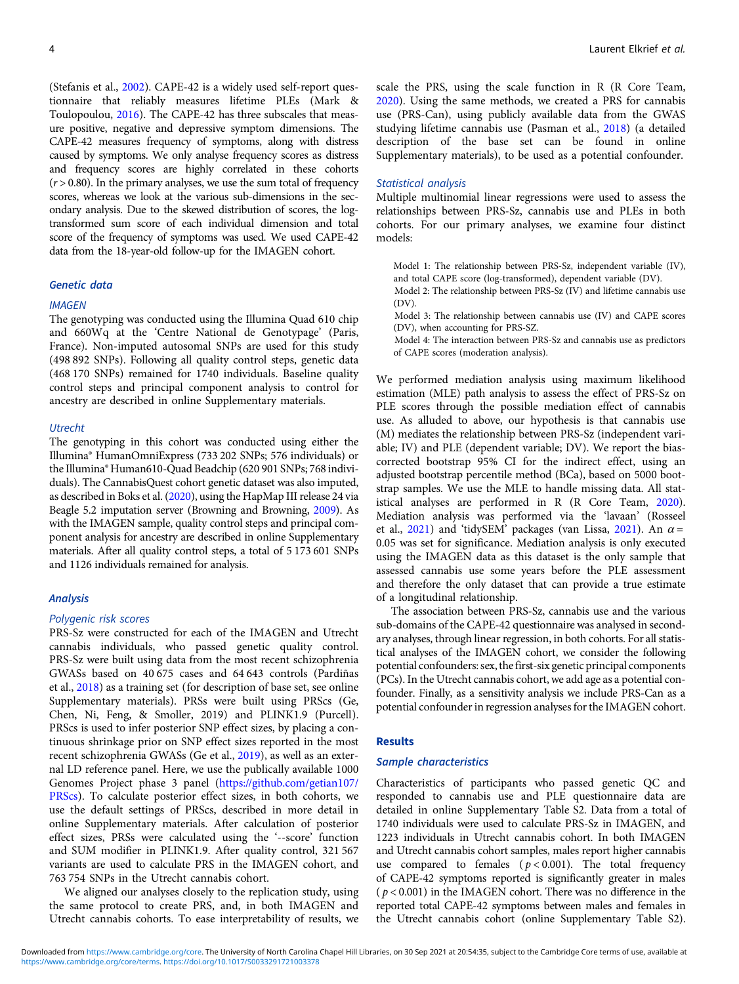(Stefanis et al., [2002\)](#page-10-0). CAPE-42 is a widely used self-report questionnaire that reliably measures lifetime PLEs (Mark & Toulopoulou, [2016](#page-9-0)). The CAPE-42 has three subscales that measure positive, negative and depressive symptom dimensions. The CAPE-42 measures frequency of symptoms, along with distress caused by symptoms. We only analyse frequency scores as distress and frequency scores are highly correlated in these cohorts  $(r > 0.80)$ . In the primary analyses, we use the sum total of frequency scores, whereas we look at the various sub-dimensions in the secondary analysis. Due to the skewed distribution of scores, the logtransformed sum score of each individual dimension and total score of the frequency of symptoms was used. We used CAPE-42 data from the 18-year-old follow-up for the IMAGEN cohort.

### Genetic data

### **IMAGEN**

The genotyping was conducted using the Illumina Quad 610 chip and 660Wq at the 'Centre National de Genotypage' (Paris, France). Non-imputed autosomal SNPs are used for this study (498 892 SNPs). Following all quality control steps, genetic data (468 170 SNPs) remained for 1740 individuals. Baseline quality control steps and principal component analysis to control for ancestry are described in online Supplementary materials.

### **Utrecht**

The genotyping in this cohort was conducted using either the Illumina® HumanOmniExpress (733 202 SNPs; 576 individuals) or the Illumina® Human610-Quad Beadchip (620 901 SNPs; 768 individuals). The CannabisQuest cohort genetic dataset was also imputed, as described in Boks et al. [\(2020\)](#page-8-0), using the HapMap III release 24 via Beagle 5.2 imputation server (Browning and Browning, [2009\)](#page-8-0). As with the IMAGEN sample, quality control steps and principal component analysis for ancestry are described in online Supplementary materials. After all quality control steps, a total of 5 173 601 SNPs and 1126 individuals remained for analysis.

### Analysis

#### Polygenic risk scores

PRS-Sz were constructed for each of the IMAGEN and Utrecht cannabis individuals, who passed genetic quality control. PRS-Sz were built using data from the most recent schizophrenia GWASs based on 40 675 cases and 64 643 controls (Pardiñas et al., [2018\)](#page-9-0) as a training set (for description of base set, see online Supplementary materials). PRSs were built using PRScs (Ge, Chen, Ni, Feng, & Smoller, 2019) and PLINK1.9 (Purcell). PRScs is used to infer posterior SNP effect sizes, by placing a continuous shrinkage prior on SNP effect sizes reported in the most recent schizophrenia GWASs (Ge et al., [2019\)](#page-8-0), as well as an external LD reference panel. Here, we use the publically available 1000 Genomes Project phase 3 panel ([https://github.com/getian107/](https://github.com/getian107/PRScs) [PRScs\)](https://github.com/getian107/PRScs). To calculate posterior effect sizes, in both cohorts, we use the default settings of PRScs, described in more detail in online Supplementary materials. After calculation of posterior effect sizes, PRSs were calculated using the '--score' function and SUM modifier in PLINK1.9. After quality control, 321 567 variants are used to calculate PRS in the IMAGEN cohort, and 763 754 SNPs in the Utrecht cannabis cohort.

We aligned our analyses closely to the replication study, using the same protocol to create PRS, and, in both IMAGEN and Utrecht cannabis cohorts. To ease interpretability of results, we

scale the PRS, using the scale function in R (R Core Team, [2020\)](#page-8-0). Using the same methods, we created a PRS for cannabis use (PRS-Can), using publicly available data from the GWAS studying lifetime cannabis use (Pasman et al., [2018\)](#page-9-0) (a detailed description of the base set can be found in online Supplementary materials), to be used as a potential confounder.

### Statistical analysis

Multiple multinomial linear regressions were used to assess the relationships between PRS-Sz, cannabis use and PLEs in both cohorts. For our primary analyses, we examine four distinct models:

Model 1: The relationship between PRS-Sz, independent variable (IV), and total CAPE score (log-transformed), dependent variable (DV).

Model 2: The relationship between PRS-Sz (IV) and lifetime cannabis use (DV).

Model 3: The relationship between cannabis use (IV) and CAPE scores (DV), when accounting for PRS-SZ.

Model 4: The interaction between PRS-Sz and cannabis use as predictors of CAPE scores (moderation analysis).

We performed mediation analysis using maximum likelihood estimation (MLE) path analysis to assess the effect of PRS-Sz on PLE scores through the possible mediation effect of cannabis use. As alluded to above, our hypothesis is that cannabis use (M) mediates the relationship between PRS-Sz (independent variable; IV) and PLE (dependent variable; DV). We report the biascorrected bootstrap 95% CI for the indirect effect, using an adjusted bootstrap percentile method (BCa), based on 5000 bootstrap samples. We use the MLE to handle missing data. All statistical analyses are performed in R (R Core Team, [2020](#page-8-0)). Mediation analysis was performed via the 'lavaan' (Rosseel et al., [2021\)](#page-10-0) and 'tidySEM' packages (van Lissa, 2021). An  $\alpha$  = 0.05 was set for significance. Mediation analysis is only executed using the IMAGEN data as this dataset is the only sample that assessed cannabis use some years before the PLE assessment and therefore the only dataset that can provide a true estimate of a longitudinal relationship.

The association between PRS-Sz, cannabis use and the various sub-domains of the CAPE-42 questionnaire was analysed in secondary analyses, through linear regression, in both cohorts. For all statistical analyses of the IMAGEN cohort, we consider the following potential confounders: sex, the first-six genetic principal components (PCs). In the Utrecht cannabis cohort, we add age as a potential confounder. Finally, as a sensitivity analysis we include PRS-Can as a potential confounder in regression analyses for the IMAGEN cohort.

#### Results

### Sample characteristics

Characteristics of participants who passed genetic QC and responded to cannabis use and PLE questionnaire data are detailed in online Supplementary Table S2. Data from a total of 1740 individuals were used to calculate PRS-Sz in IMAGEN, and 1223 individuals in Utrecht cannabis cohort. In both IMAGEN and Utrecht cannabis cohort samples, males report higher cannabis use compared to females ( $p < 0.001$ ). The total frequency of CAPE-42 symptoms reported is significantly greater in males  $(p < 0.001)$  in the IMAGEN cohort. There was no difference in the reported total CAPE-42 symptoms between males and females in the Utrecht cannabis cohort (online Supplementary Table S2).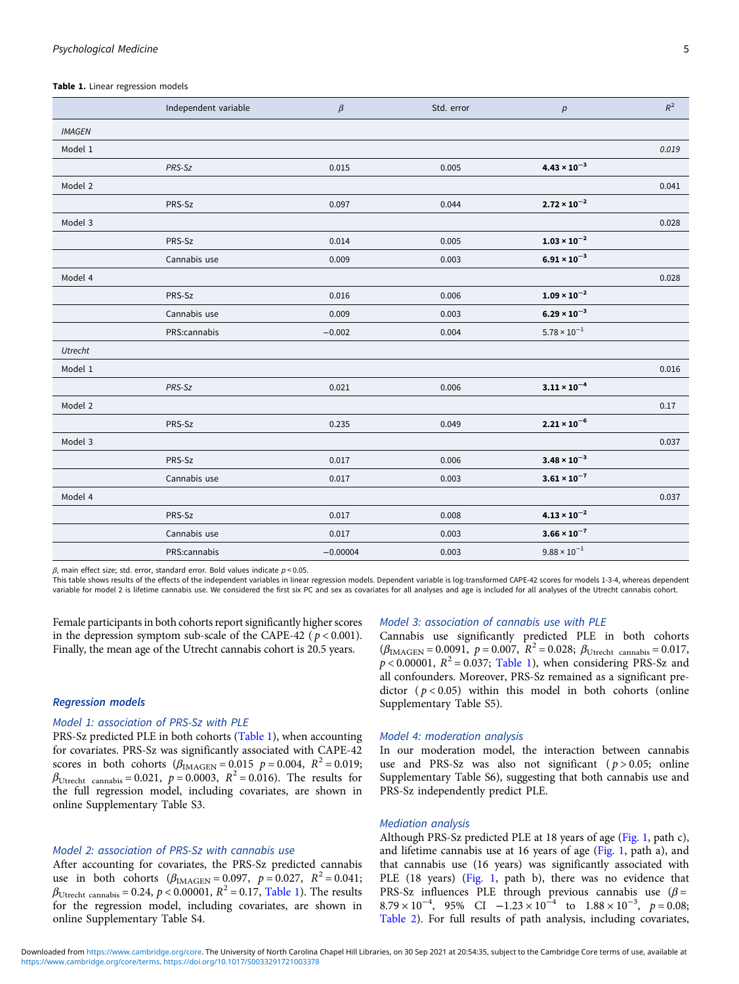#### Table 1. Linear regression models

|               | Independent variable | $\beta$    | Std. error | $\boldsymbol{p}$                        | $R^2$ |
|---------------|----------------------|------------|------------|-----------------------------------------|-------|
| <b>IMAGEN</b> |                      |            |            |                                         |       |
| Model 1       |                      |            |            |                                         | 0.019 |
|               | PRS-Sz               | 0.015      | 0.005      | $4.43 \times 10^{-3}$                   |       |
| Model 2       |                      |            |            |                                         | 0.041 |
|               | PRS-Sz               | 0.097      | 0.044      | $2.72 \times 10^{-2}$                   |       |
| Model 3       |                      |            |            |                                         | 0.028 |
|               | PRS-Sz               | 0.014      | 0.005      | $1.03 \times 10^{-2}$                   |       |
|               | Cannabis use         | 0.009      | 0.003      | $6.91 \times 10^{-3}$                   |       |
| Model 4       |                      |            |            |                                         | 0.028 |
|               | PRS-Sz               | 0.016      | 0.006      | $1.09 \times 10^{-2}$                   |       |
|               | Cannabis use         | 0.009      | 0.003      | $6.29 \times 10^{-3}$                   |       |
|               | PRS:cannabis         | $-0.002$   | 0.004      | $5.78 \times 10^{-1}$                   |       |
| Utrecht       |                      |            |            |                                         |       |
| Model 1       |                      |            |            |                                         | 0.016 |
|               | PRS-Sz               | 0.021      | 0.006      | $3.11 \times 10^{-4}$                   |       |
| Model 2       |                      |            |            |                                         | 0.17  |
|               | PRS-Sz               | 0.235      | 0.049      | $2.21 \times 10^{-6}$                   |       |
| Model 3       |                      |            |            |                                         | 0.037 |
|               | PRS-Sz               | 0.017      | 0.006      | $3.48 \times 10^{-3}$                   |       |
|               | Cannabis use         | 0.017      | 0.003      | $\textbf{3.61} \times \textbf{10}^{-7}$ |       |
| Model 4       |                      |            |            |                                         | 0.037 |
|               | PRS-Sz               | 0.017      | 0.008      | $4.13 \times 10^{-2}$                   |       |
|               | Cannabis use         | 0.017      | 0.003      | $\mathbf{3.66} \times \mathbf{10}^{-7}$ |       |
|               | PRS:cannabis         | $-0.00004$ | 0.003      | $9.88\times10^{-1}$                     |       |

 $β$ , main effect size; std. error, standard error. Bold values indicate  $p < 0.05$ .

This table shows results of the effects of the independent variables in linear regression models. Dependent variable is log-transformed CAPE-42 scores for models 1-3-4, whereas dependent variable for model 2 is lifetime cannabis use. We considered the first six PC and sex as covariates for all analyses and age is included for all analyses of the Utrecht cannabis cohort.

Female participants in both cohorts report significantly higher scores in the depression symptom sub-scale of the CAPE-42 ( $p < 0.001$ ). Finally, the mean age of the Utrecht cannabis cohort is 20.5 years.

#### Regression models

# Model 1: association of PRS-Sz with PLE

PRS-Sz predicted PLE in both cohorts (Table 1), when accounting for covariates. PRS-Sz was significantly associated with CAPE-42 scores in both cohorts  $(\beta_{\text{IMAGEN}} = 0.015 \ p = 0.004, R^2 = 0.019;$  $\beta_{Utrecht}$  cannabis = 0.021,  $p = 0.0003$ ,  $R^2 = 0.016$ ). The results for the full regression model, including covariates, are shown in online Supplementary Table S3.

# Model 2: association of PRS-Sz with cannabis use

After accounting for covariates, the PRS-Sz predicted cannabis use in both cohorts  $(\beta_{\text{IMAGEN}} = 0.097, p = 0.027, R^2 = 0.041;$  $\beta_{\text{Utrecht cannabis}} = 0.24$ ,  $p < 0.00001$ ,  $R^2 = 0.17$ , Table 1). The results for the regression model, including covariates, are shown in online Supplementary Table S4.

### Model 3: association of cannabis use with PLE

Cannabis use significantly predicted PLE in both cohorts  $(\beta_{\text{IMAGEN}} = 0.0091, p = 0.007, R^2 = 0.028; \beta_{\text{Utrecht cannabis}} = 0.017,$  $p < 0.00001$ ,  $R^2 = 0.037$ ; Table 1), when considering PRS-Sz and all confounders. Moreover, PRS-Sz remained as a significant predictor  $(p < 0.05)$  within this model in both cohorts (online Supplementary Table S5).

### Model 4: moderation analysis

In our moderation model, the interaction between cannabis use and PRS-Sz was also not significant ( $p > 0.05$ ; online Supplementary Table S6), suggesting that both cannabis use and PRS-Sz independently predict PLE.

# Mediation analysis

Although PRS-Sz predicted PLE at 18 years of age ([Fig. 1](#page-5-0), path c), and lifetime cannabis use at 16 years of age ([Fig. 1](#page-5-0), path a), and that cannabis use (16 years) was significantly associated with PLE (18 years) ([Fig. 1,](#page-5-0) path b), there was no evidence that PRS-Sz influences PLE through previous cannabis use  $(\beta =$  $8.79 \times 10^{-4}$ , 95% CI  $-1.23 \times 10^{-4}$  to  $1.88 \times 10^{-3}$ ,  $p = 0.08$ ; [Table 2\)](#page-6-0). For full results of path analysis, including covariates,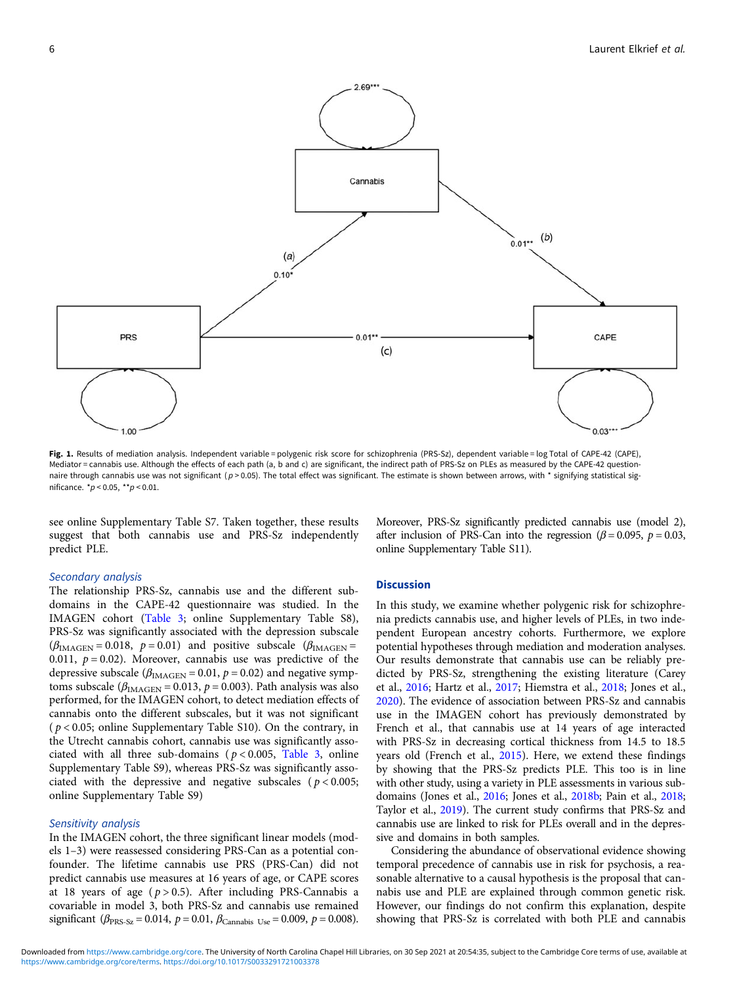<span id="page-5-0"></span>

Fig. 1. Results of mediation analysis. Independent variable = polygenic risk score for schizophrenia (PRS-Sz), dependent variable = log Total of CAPE-42 (CAPE), Mediator = cannabis use. Although the effects of each path (a, b and c) are significant, the indirect path of PRS-Sz on PLEs as measured by the CAPE-42 questionnaire through cannabis use was not significant ( $p > 0.05$ ). The total effect was significant. The estimate is shown between arrows, with  $*$  signifying statistical significance.  $* p < 0.05$ ,  $* p < 0.01$ .

see online Supplementary Table S7. Taken together, these results suggest that both cannabis use and PRS-Sz independently predict PLE.

# Moreover, PRS-Sz significantly predicted cannabis use (model 2), after inclusion of PRS-Can into the regression ( $\beta$  = 0.095,  $p$  = 0.03, online Supplementary Table S11).

## Secondary analysis

The relationship PRS-Sz, cannabis use and the different subdomains in the CAPE-42 questionnaire was studied. In the IMAGEN cohort ([Table 3;](#page-6-0) online Supplementary Table S8), PRS-Sz was significantly associated with the depression subscale  $(\beta_{\text{IMAGEN}} = 0.018, p = 0.01)$  and positive subscale  $(\beta_{\text{IMAGEN}} =$ 0.011,  $p = 0.02$ ). Moreover, cannabis use was predictive of the depressive subscale ( $\beta_{\text{IMAGEN}} = 0.01$ ,  $p = 0.02$ ) and negative symptoms subscale ( $\beta_{\text{IMAGEN}}$  = 0.013, p = 0.003). Path analysis was also performed, for the IMAGEN cohort, to detect mediation effects of cannabis onto the different subscales, but it was not significant  $(p < 0.05$ ; online Supplementary Table S10). On the contrary, in the Utrecht cannabis cohort, cannabis use was significantly associated with all three sub-domains ( $p < 0.005$ , [Table 3](#page-6-0), online Supplementary Table S9), whereas PRS-Sz was significantly associated with the depressive and negative subscales ( $p < 0.005$ ; online Supplementary Table S9)

### Sensitivity analysis

In the IMAGEN cohort, the three significant linear models (models 1–3) were reassessed considering PRS-Can as a potential confounder. The lifetime cannabis use PRS (PRS-Can) did not predict cannabis use measures at 16 years of age, or CAPE scores at 18 years of age ( $p > 0.5$ ). After including PRS-Cannabis a covariable in model 3, both PRS-Sz and cannabis use remained significant ( $\beta_{\text{PRS-Sz}} = 0.014$ ,  $p = 0.01$ ,  $\beta_{\text{Camabis Use}} = 0.009$ ,  $p = 0.008$ ).

# **Discussion**

In this study, we examine whether polygenic risk for schizophrenia predicts cannabis use, and higher levels of PLEs, in two independent European ancestry cohorts. Furthermore, we explore potential hypotheses through mediation and moderation analyses. Our results demonstrate that cannabis use can be reliably predicted by PRS-Sz, strengthening the existing literature (Carey et al., [2016](#page-8-0); Hartz et al., [2017;](#page-9-0) Hiemstra et al., [2018](#page-9-0); Jones et al., [2020\)](#page-9-0). The evidence of association between PRS-Sz and cannabis use in the IMAGEN cohort has previously demonstrated by French et al., that cannabis use at 14 years of age interacted with PRS-Sz in decreasing cortical thickness from 14.5 to 18.5 years old (French et al., [2015\)](#page-8-0). Here, we extend these findings by showing that the PRS-Sz predicts PLE. This too is in line with other study, using a variety in PLE assessments in various subdomains (Jones et al., [2016;](#page-9-0) Jones et al., [2018b](#page-9-0); Pain et al., [2018;](#page-9-0) Taylor et al., [2019\)](#page-10-0). The current study confirms that PRS-Sz and cannabis use are linked to risk for PLEs overall and in the depressive and domains in both samples.

Considering the abundance of observational evidence showing temporal precedence of cannabis use in risk for psychosis, a reasonable alternative to a causal hypothesis is the proposal that cannabis use and PLE are explained through common genetic risk. However, our findings do not confirm this explanation, despite showing that PRS-Sz is correlated with both PLE and cannabis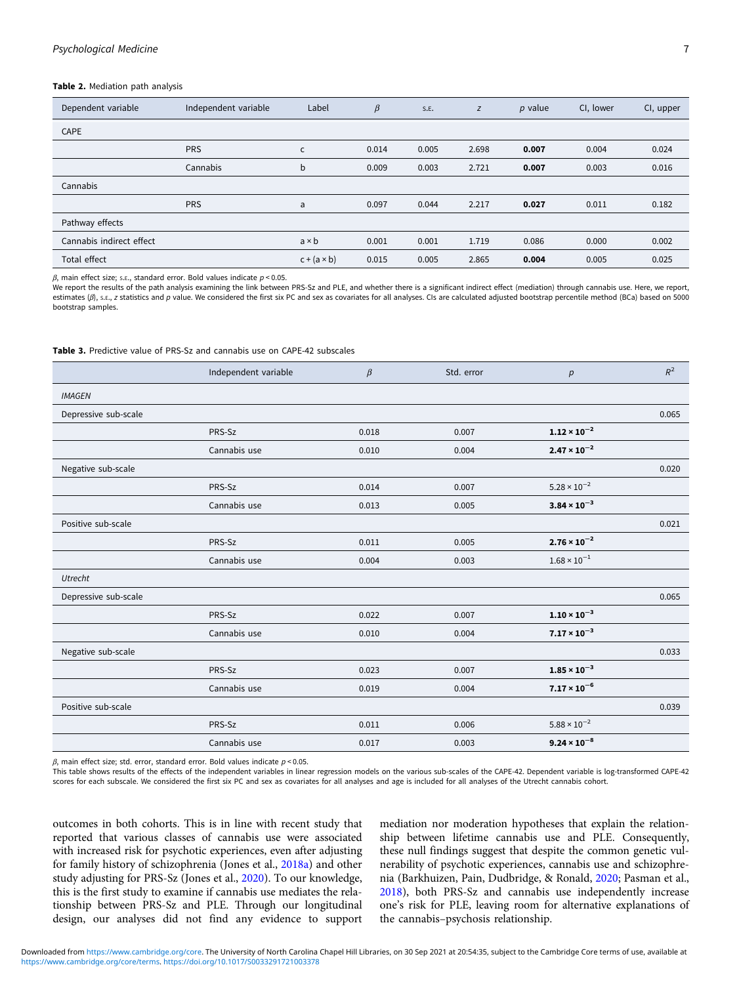### <span id="page-6-0"></span>Table 2. Mediation path analysis

| Dependent variable       | Independent variable | Label              | $\beta$ | S.E.  | Z     | $p$ value | CI, lower | CI, upper |
|--------------------------|----------------------|--------------------|---------|-------|-------|-----------|-----------|-----------|
| CAPE                     |                      |                    |         |       |       |           |           |           |
|                          | <b>PRS</b>           | $\mathsf{C}$       | 0.014   | 0.005 | 2.698 | 0.007     | 0.004     | 0.024     |
|                          | Cannabis             | b                  | 0.009   | 0.003 | 2.721 | 0.007     | 0.003     | 0.016     |
| Cannabis                 |                      |                    |         |       |       |           |           |           |
|                          | <b>PRS</b>           | a                  | 0.097   | 0.044 | 2.217 | 0.027     | 0.011     | 0.182     |
| Pathway effects          |                      |                    |         |       |       |           |           |           |
| Cannabis indirect effect |                      | $a \times b$       | 0.001   | 0.001 | 1.719 | 0.086     | 0.000     | 0.002     |
| Total effect             |                      | $c + (a \times b)$ | 0.015   | 0.005 | 2.865 | 0.004     | 0.005     | 0.025     |

 $β$ , main effect size; s.ε., standard error. Bold values indicate  $p < 0.05$ .

We report the results of the path analysis examining the link between PRS-Sz and PLE, and whether there is a significant indirect effect (mediation) through cannabis use. Here, we report, estimates (β), s.ε., z statistics and p value. We considered the first six PC and sex as covariates for all analyses. CIs are calculated adjusted bootstrap percentile method (BCa) based on 5000 bootstrap samples.

#### Table 3. Predictive value of PRS-Sz and cannabis use on CAPE-42 subscales

|                      | Independent variable | $\beta$ | Std. error | p                                  | $R^2$ |
|----------------------|----------------------|---------|------------|------------------------------------|-------|
| <b>IMAGEN</b>        |                      |         |            |                                    |       |
| Depressive sub-scale |                      |         |            |                                    | 0.065 |
|                      | PRS-Sz               | 0.018   | 0.007      | $1.12 \times 10^{-2}$              |       |
|                      | Cannabis use         | 0.010   | 0.004      | $2.47 \times 10^{-2}$              |       |
| Negative sub-scale   |                      |         |            |                                    | 0.020 |
|                      | PRS-Sz               | 0.014   | 0.007      | $5.28 \times 10^{-2}$              |       |
|                      | Cannabis use         | 0.013   | 0.005      | $3.84 \times 10^{-3}$              |       |
| Positive sub-scale   |                      |         |            |                                    | 0.021 |
|                      | PRS-Sz               | 0.011   | 0.005      | $2.76 \times 10^{-2}$              |       |
|                      | Cannabis use         | 0.004   | 0.003      | $1.68 \times 10^{-1}$              |       |
| Utrecht              |                      |         |            |                                    |       |
| Depressive sub-scale |                      |         |            |                                    | 0.065 |
|                      | PRS-Sz               | 0.022   | 0.007      | $1.10 \times 10^{-3}$              |       |
|                      | Cannabis use         | 0.010   | 0.004      | $7.17 \times 10^{-3}$              |       |
| Negative sub-scale   |                      |         |            |                                    | 0.033 |
|                      | PRS-Sz               | 0.023   | 0.007      | $\boldsymbol{1.85 \times 10^{-3}}$ |       |
|                      | Cannabis use         | 0.019   | 0.004      | $7.17 \times 10^{-6}$              |       |
| Positive sub-scale   |                      |         |            |                                    | 0.039 |
|                      | PRS-Sz               | 0.011   | 0.006      | $5.88\times10^{-2}$                |       |
|                      | Cannabis use         | 0.017   | 0.003      | $9.24 \times 10^{-8}$              |       |

 $β$ , main effect size; std. error, standard error. Bold values indicate  $p < 0.05$ .

This table shows results of the effects of the independent variables in linear regression models on the various sub-scales of the CAPE-42. Dependent variable is log-transformed CAPE-42 scores for each subscale. We considered the first six PC and sex as covariates for all analyses and age is included for all analyses of the Utrecht cannabis cohort.

outcomes in both cohorts. This is in line with recent study that reported that various classes of cannabis use were associated with increased risk for psychotic experiences, even after adjusting for family history of schizophrenia (Jones et al., [2018a\)](#page-9-0) and other study adjusting for PRS-Sz (Jones et al., [2020\)](#page-9-0). To our knowledge, this is the first study to examine if cannabis use mediates the relationship between PRS-Sz and PLE. Through our longitudinal design, our analyses did not find any evidence to support

mediation nor moderation hypotheses that explain the relationship between lifetime cannabis use and PLE. Consequently, these null findings suggest that despite the common genetic vulnerability of psychotic experiences, cannabis use and schizophrenia (Barkhuizen, Pain, Dudbridge, & Ronald, [2020](#page-8-0); Pasman et al., [2018](#page-9-0)), both PRS-Sz and cannabis use independently increase one's risk for PLE, leaving room for alternative explanations of the cannabis–psychosis relationship.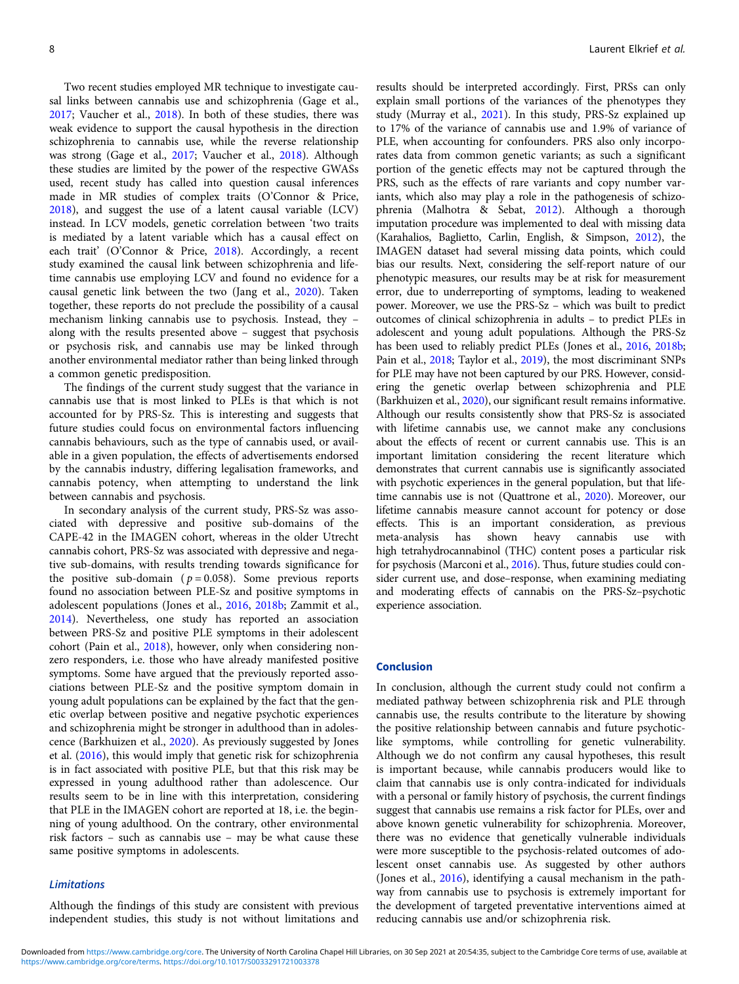Two recent studies employed MR technique to investigate causal links between cannabis use and schizophrenia (Gage et al., [2017;](#page-8-0) Vaucher et al., [2018](#page-10-0)). In both of these studies, there was weak evidence to support the causal hypothesis in the direction schizophrenia to cannabis use, while the reverse relationship was strong (Gage et al., [2017;](#page-8-0) Vaucher et al., [2018\)](#page-10-0). Although these studies are limited by the power of the respective GWASs used, recent study has called into question causal inferences made in MR studies of complex traits (O'Connor & Price, [2018\)](#page-9-0), and suggest the use of a latent causal variable (LCV) instead. In LCV models, genetic correlation between 'two traits is mediated by a latent variable which has a causal effect on each trait' (O'Connor & Price, [2018\)](#page-9-0). Accordingly, a recent study examined the causal link between schizophrenia and lifetime cannabis use employing LCV and found no evidence for a causal genetic link between the two (Jang et al., [2020](#page-9-0)). Taken together, these reports do not preclude the possibility of a causal mechanism linking cannabis use to psychosis. Instead, they – along with the results presented above – suggest that psychosis or psychosis risk, and cannabis use may be linked through another environmental mediator rather than being linked through a common genetic predisposition.

The findings of the current study suggest that the variance in cannabis use that is most linked to PLEs is that which is not accounted for by PRS-Sz. This is interesting and suggests that future studies could focus on environmental factors influencing cannabis behaviours, such as the type of cannabis used, or available in a given population, the effects of advertisements endorsed by the cannabis industry, differing legalisation frameworks, and cannabis potency, when attempting to understand the link between cannabis and psychosis.

In secondary analysis of the current study, PRS-Sz was associated with depressive and positive sub-domains of the CAPE-42 in the IMAGEN cohort, whereas in the older Utrecht cannabis cohort, PRS-Sz was associated with depressive and negative sub-domains, with results trending towards significance for the positive sub-domain ( $p = 0.058$ ). Some previous reports found no association between PLE-Sz and positive symptoms in adolescent populations (Jones et al., [2016](#page-9-0), [2018b;](#page-9-0) Zammit et al., [2014\)](#page-10-0). Nevertheless, one study has reported an association between PRS-Sz and positive PLE symptoms in their adolescent cohort (Pain et al., [2018](#page-9-0)), however, only when considering nonzero responders, i.e. those who have already manifested positive symptoms. Some have argued that the previously reported associations between PLE-Sz and the positive symptom domain in young adult populations can be explained by the fact that the genetic overlap between positive and negative psychotic experiences and schizophrenia might be stronger in adulthood than in adolescence (Barkhuizen et al., [2020\)](#page-8-0). As previously suggested by Jones et al. [\(2016](#page-9-0)), this would imply that genetic risk for schizophrenia is in fact associated with positive PLE, but that this risk may be expressed in young adulthood rather than adolescence. Our results seem to be in line with this interpretation, considering that PLE in the IMAGEN cohort are reported at 18, i.e. the beginning of young adulthood. On the contrary, other environmental risk factors – such as cannabis use – may be what cause these same positive symptoms in adolescents.

# Limitations

Although the findings of this study are consistent with previous independent studies, this study is not without limitations and

results should be interpreted accordingly. First, PRSs can only explain small portions of the variances of the phenotypes they study (Murray et al., [2021](#page-9-0)). In this study, PRS-Sz explained up to 17% of the variance of cannabis use and 1.9% of variance of PLE, when accounting for confounders. PRS also only incorporates data from common genetic variants; as such a significant portion of the genetic effects may not be captured through the PRS, such as the effects of rare variants and copy number variants, which also may play a role in the pathogenesis of schizophrenia (Malhotra & Sebat, [2012\)](#page-9-0). Although a thorough imputation procedure was implemented to deal with missing data (Karahalios, Baglietto, Carlin, English, & Simpson, [2012](#page-9-0)), the IMAGEN dataset had several missing data points, which could bias our results. Next, considering the self-report nature of our phenotypic measures, our results may be at risk for measurement error, due to underreporting of symptoms, leading to weakened power. Moreover, we use the PRS-Sz – which was built to predict outcomes of clinical schizophrenia in adults – to predict PLEs in adolescent and young adult populations. Although the PRS-Sz has been used to reliably predict PLEs (Jones et al., [2016,](#page-9-0) [2018b;](#page-9-0) Pain et al., [2018](#page-9-0); Taylor et al., [2019\)](#page-10-0), the most discriminant SNPs for PLE may have not been captured by our PRS. However, considering the genetic overlap between schizophrenia and PLE (Barkhuizen et al., [2020\)](#page-8-0), our significant result remains informative. Although our results consistently show that PRS-Sz is associated with lifetime cannabis use, we cannot make any conclusions about the effects of recent or current cannabis use. This is an important limitation considering the recent literature which demonstrates that current cannabis use is significantly associated with psychotic experiences in the general population, but that lifetime cannabis use is not (Quattrone et al., [2020](#page-9-0)). Moreover, our lifetime cannabis measure cannot account for potency or dose effects. This is an important consideration, as previous meta-analysis has shown heavy cannabis use with high tetrahydrocannabinol (THC) content poses a particular risk for psychosis (Marconi et al., [2016](#page-9-0)). Thus, future studies could consider current use, and dose–response, when examining mediating and moderating effects of cannabis on the PRS-Sz–psychotic experience association.

### Conclusion

In conclusion, although the current study could not confirm a mediated pathway between schizophrenia risk and PLE through cannabis use, the results contribute to the literature by showing the positive relationship between cannabis and future psychoticlike symptoms, while controlling for genetic vulnerability. Although we do not confirm any causal hypotheses, this result is important because, while cannabis producers would like to claim that cannabis use is only contra-indicated for individuals with a personal or family history of psychosis, the current findings suggest that cannabis use remains a risk factor for PLEs, over and above known genetic vulnerability for schizophrenia. Moreover, there was no evidence that genetically vulnerable individuals were more susceptible to the psychosis-related outcomes of adolescent onset cannabis use. As suggested by other authors (Jones et al., [2016\)](#page-9-0), identifying a causal mechanism in the pathway from cannabis use to psychosis is extremely important for the development of targeted preventative interventions aimed at reducing cannabis use and/or schizophrenia risk.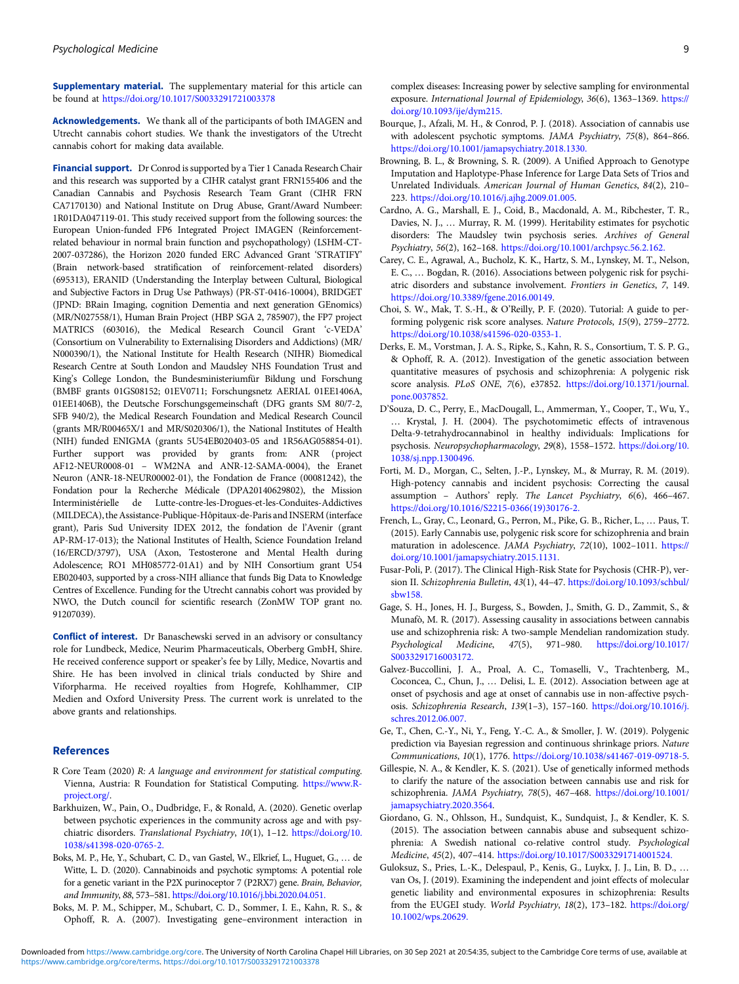<span id="page-8-0"></span>Supplementary material. The supplementary material for this article can be found at <https://doi.org/10.1017/S0033291721003378>

Acknowledgements. We thank all of the participants of both IMAGEN and Utrecht cannabis cohort studies. We thank the investigators of the Utrecht cannabis cohort for making data available.

Financial support. Dr Conrod is supported by a Tier 1 Canada Research Chair and this research was supported by a CIHR catalyst grant FRN155406 and the Canadian Cannabis and Psychosis Research Team Grant (CIHR FRN CA7170130) and National Institute on Drug Abuse, Grant/Award Numbeer: 1R01DA047119-01. This study received support from the following sources: the European Union-funded FP6 Integrated Project IMAGEN (Reinforcementrelated behaviour in normal brain function and psychopathology) (LSHM-CT-2007-037286), the Horizon 2020 funded ERC Advanced Grant 'STRATIFY' (Brain network-based stratification of reinforcement-related disorders) (695313), ERANID (Understanding the Interplay between Cultural, Biological and Subjective Factors in Drug Use Pathways) (PR-ST-0416-10004), BRIDGET (JPND: BRain Imaging, cognition Dementia and next generation GEnomics) (MR/N027558/1), Human Brain Project (HBP SGA 2, 785907), the FP7 project MATRICS (603016), the Medical Research Council Grant 'c-VEDA' (Consortium on Vulnerability to Externalising Disorders and Addictions) (MR/ N000390/1), the National Institute for Health Research (NIHR) Biomedical Research Centre at South London and Maudsley NHS Foundation Trust and King's College London, the Bundesministeriumfür Bildung und Forschung (BMBF grants 01GS08152; 01EV0711; Forschungsnetz AERIAL 01EE1406A, 01EE1406B), the Deutsche Forschungsgemeinschaft (DFG grants SM 80/7-2, SFB 940/2), the Medical Research Foundation and Medical Research Council (grants MR/R00465X/1 and MR/S020306/1), the National Institutes of Health (NIH) funded ENIGMA (grants 5U54EB020403-05 and 1R56AG058854-01). Further support was provided by grants from: ANR (project AF12-NEUR0008-01 – WM2NA and ANR-12-SAMA-0004), the Eranet Neuron (ANR-18-NEUR00002-01), the Fondation de France (00081242), the Fondation pour la Recherche Médicale (DPA20140629802), the Mission Interministérielle de Lutte-contre-les-Drogues-et-les-Conduites-Addictives (MILDECA), the Assistance-Publique-Hôpitaux-de-Paris and INSERM (interface grant), Paris Sud University IDEX 2012, the fondation de l'Avenir (grant AP-RM-17-013); the National Institutes of Health, Science Foundation Ireland (16/ERCD/3797), USA (Axon, Testosterone and Mental Health during Adolescence; RO1 MH085772-01A1) and by NIH Consortium grant U54 EB020403, supported by a cross-NIH alliance that funds Big Data to Knowledge Centres of Excellence. Funding for the Utrecht cannabis cohort was provided by NWO, the Dutch council for scientific research (ZonMW TOP grant no. 91207039).

Conflict of interest. Dr Banaschewski served in an advisory or consultancy role for Lundbeck, Medice, Neurim Pharmaceuticals, Oberberg GmbH, Shire. He received conference support or speaker's fee by Lilly, Medice, Novartis and Shire. He has been involved in clinical trials conducted by Shire and Viforpharma. He received royalties from Hogrefe, Kohlhammer, CIP Medien and Oxford University Press. The current work is unrelated to the above grants and relationships.

### References

- R Core Team (2020) R: A language and environment for statistical computing. Vienna, Austria: R Foundation for Statistical Computing. [https://www.R](https://www.R-project.org/)[project.org/](https://www.R-project.org/).
- Barkhuizen, W., Pain, O., Dudbridge, F., & Ronald, A. (2020). Genetic overlap between psychotic experiences in the community across age and with psychiatric disorders. Translational Psychiatry, 10(1), 1-12. [https://doi.org/10.](https://doi.org/10.1038/s41398-020-0765-2.) [1038/s41398-020-0765-2.](https://doi.org/10.1038/s41398-020-0765-2.)
- Boks, M. P., He, Y., Schubart, C. D., van Gastel, W., Elkrief, L., Huguet, G., … de Witte, L. D. (2020). Cannabinoids and psychotic symptoms: A potential role for a genetic variant in the P2X purinoceptor 7 (P2RX7) gene. Brain, Behavior, and Immunity, 88, 573–581. <https://doi.org/10.1016/j.bbi.2020.04.051.>
- Boks, M. P. M., Schipper, M., Schubart, C. D., Sommer, I. E., Kahn, R. S., & Ophoff, R. A. (2007). Investigating gene–environment interaction in

complex diseases: Increasing power by selective sampling for environmental exposure. International Journal of Epidemiology, 36(6), 1363–1369. [https://](https://doi.org/10.1093/ije/dym215.) [doi.org/10.1093/ije/dym215.](https://doi.org/10.1093/ije/dym215.)

- Bourque, J., Afzali, M. H., & Conrod, P. J. (2018). Association of cannabis use with adolescent psychotic symptoms. JAMA Psychiatry, 75(8), 864–866. <https://doi.org/10.1001/jamapsychiatry.2018.1330.>
- Browning, B. L., & Browning, S. R. (2009). A Unified Approach to Genotype Imputation and Haplotype-Phase Inference for Large Data Sets of Trios and Unrelated Individuals. American Journal of Human Genetics, 84(2), 210– 223. <https://doi.org/10.1016/j.ajhg.2009.01.005>.
- Cardno, A. G., Marshall, E. J., Coid, B., Macdonald, A. M., Ribchester, T. R., Davies, N. J., … Murray, R. M. (1999). Heritability estimates for psychotic disorders: The Maudsley twin psychosis series. Archives of General Psychiatry, 56(2), 162–168. <https://doi.org/10.1001/archpsyc.56.2.162.>
- Carey, C. E., Agrawal, A., Bucholz, K. K., Hartz, S. M., Lynskey, M. T., Nelson, E. C., … Bogdan, R. (2016). Associations between polygenic risk for psychiatric disorders and substance involvement. Frontiers in Genetics, 7, 149. <https://doi.org/10.3389/fgene.2016.00149>.
- Choi, S. W., Mak, T. S.-H., & O'Reilly, P. F. (2020). Tutorial: A guide to performing polygenic risk score analyses. Nature Protocols, 15(9), 2759–2772. <https://doi.org/10.1038/s41596-020-0353-1.>
- Derks, E. M., Vorstman, J. A. S., Ripke, S., Kahn, R. S., Consortium, T. S. P. G., & Ophoff, R. A. (2012). Investigation of the genetic association between quantitative measures of psychosis and schizophrenia: A polygenic risk score analysis. PLoS ONE, 7(6), e37852. [https://doi.org/10.1371/journal.](https://doi.org/10.1371/journal.pone.0037852.) [pone.0037852.](https://doi.org/10.1371/journal.pone.0037852.)
- D'Souza, D. C., Perry, E., MacDougall, L., Ammerman, Y., Cooper, T., Wu, Y., … Krystal, J. H. (2004). The psychotomimetic effects of intravenous Delta-9-tetrahydrocannabinol in healthy individuals: Implications for psychosis. Neuropsychopharmacology, 29(8), 1558–1572. [https://doi.org/10.](https://doi.org/10.1038/sj.npp.1300496.) [1038/sj.npp.1300496.](https://doi.org/10.1038/sj.npp.1300496.)
- Forti, M. D., Morgan, C., Selten, J.-P., Lynskey, M., & Murray, R. M. (2019). High-potency cannabis and incident psychosis: Correcting the causal assumption – Authors' reply. The Lancet Psychiatry, 6(6), 466–467. [https://doi.org/10.1016/S2215-0366\(19\)30176-2.](https://doi.org/10.1016/S2215-0366(19)30176-2.)
- French, L., Gray, C., Leonard, G., Perron, M., Pike, G. B., Richer, L., … Paus, T. (2015). Early Cannabis use, polygenic risk score for schizophrenia and brain maturation in adolescence. JAMA Psychiatry, 72(10), 1002-1011. [https://](https://doi.org/10.1001/jamapsychiatry.2015.1131.) [doi.org/10.1001/jamapsychiatry.2015.1131.](https://doi.org/10.1001/jamapsychiatry.2015.1131.)
- Fusar-Poli, P. (2017). The Clinical High-Risk State for Psychosis (CHR-P), version II. Schizophrenia Bulletin, 43(1), 44-47. [https://doi.org/10.1093/schbul/](https://doi.org/10.1093/schbul/sbw158.) [sbw158.](https://doi.org/10.1093/schbul/sbw158.)
- Gage, S. H., Jones, H. J., Burgess, S., Bowden, J., Smith, G. D., Zammit, S., & Munafò, M. R. (2017). Assessing causality in associations between cannabis use and schizophrenia risk: A two-sample Mendelian randomization study. Psychological Medicine, 47(5), 971–980. [https://doi.org/10.1017/](https://doi.org/10.1017/S0033291716003172.) [S0033291716003172.](https://doi.org/10.1017/S0033291716003172.)
- Galvez-Buccollini, J. A., Proal, A. C., Tomaselli, V., Trachtenberg, M., Coconcea, C., Chun, J., … Delisi, L. E. (2012). Association between age at onset of psychosis and age at onset of cannabis use in non-affective psychosis. Schizophrenia Research, 139(1–3), 157–160. [https://doi.org/10.1016/j.](https://doi.org/10.1016/j.schres.2012.06.007.) [schres.2012.06.007.](https://doi.org/10.1016/j.schres.2012.06.007.)
- Ge, T., Chen, C.-Y., Ni, Y., Feng, Y.-C. A., & Smoller, J. W. (2019). Polygenic prediction via Bayesian regression and continuous shrinkage priors. Nature Communications, 10(1), 1776. [https://doi.org/10.1038/s41467-019-09718-5.](https://doi.org/10.1038/s41467-019-09718-5)
- Gillespie, N. A., & Kendler, K. S. (2021). Use of genetically informed methods to clarify the nature of the association between cannabis use and risk for schizophrenia. JAMA Psychiatry, 78(5), 467–468. [https://doi.org/10.1001/](https://doi.org/10.1001/jamapsychiatry.2020.3564) [jamapsychiatry.2020.3564.](https://doi.org/10.1001/jamapsychiatry.2020.3564)
- Giordano, G. N., Ohlsson, H., Sundquist, K., Sundquist, J., & Kendler, K. S. (2015). The association between cannabis abuse and subsequent schizophrenia: A Swedish national co-relative control study. Psychological Medicine, 45(2), 407–414. <https://doi.org/10.1017/S0033291714001524.>
- Guloksuz, S., Pries, L.-K., Delespaul, P., Kenis, G., Luykx, J. J., Lin, B. D., … van Os, J. (2019). Examining the independent and joint effects of molecular genetic liability and environmental exposures in schizophrenia: Results from the EUGEI study. World Psychiatry, 18(2), 173-182. [https://doi.org/](https://doi.org/10.1002/wps.20629.) [10.1002/wps.20629.](https://doi.org/10.1002/wps.20629.)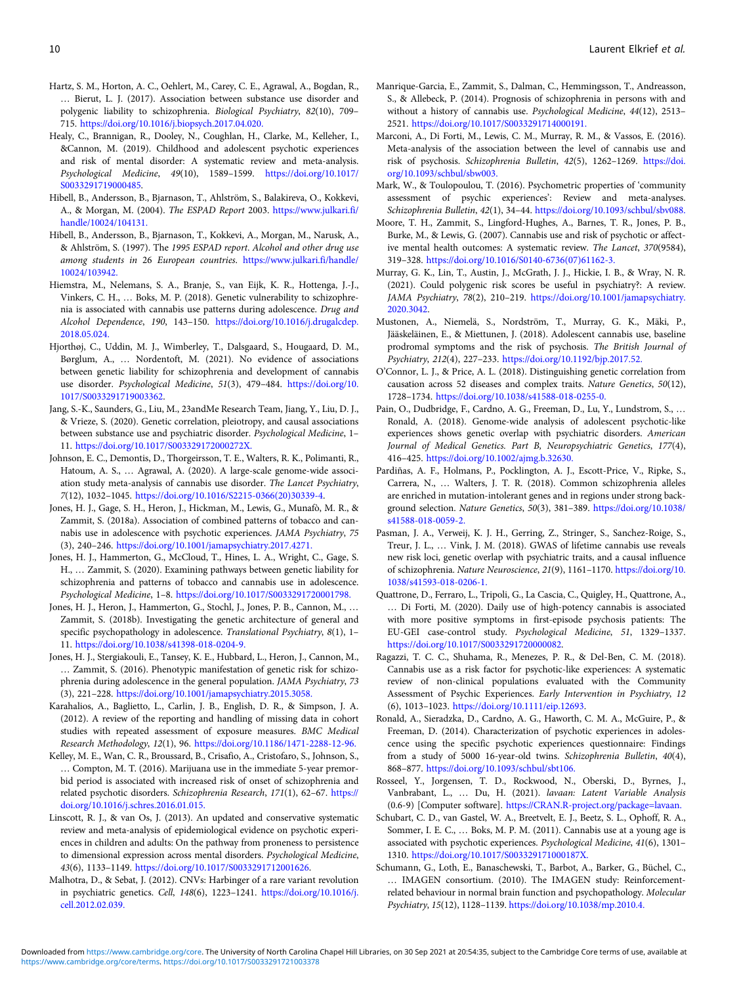- <span id="page-9-0"></span>Hartz, S. M., Horton, A. C., Oehlert, M., Carey, C. E., Agrawal, A., Bogdan, R., … Bierut, L. J. (2017). Association between substance use disorder and polygenic liability to schizophrenia. Biological Psychiatry, 82(10), 709– 715. <https://doi.org/10.1016/j.biopsych.2017.04.020.>
- Healy, C., Brannigan, R., Dooley, N., Coughlan, H., Clarke, M., Kelleher, I., &Cannon, M. (2019). Childhood and adolescent psychotic experiences and risk of mental disorder: A systematic review and meta-analysis. Psychological Medicine, 49(10), 1589–1599. [https://doi.org/10.1017/](https://doi.org/10.1017/S0033291719000485) [S0033291719000485.](https://doi.org/10.1017/S0033291719000485)
- Hibell, B., Andersson, B., Bjarnason, T., Ahlström, S., Balakireva, O., Kokkevi, A., & Morgan, M. (2004). The ESPAD Report 2003. [https://www.julkari.fi/](https://www.julkari.fi/handle/10024/104131.) [handle/10024/104131.](https://www.julkari.fi/handle/10024/104131.)
- Hibell, B., Andersson, B., Bjarnason, T., Kokkevi, A., Morgan, M., Narusk, A., & Ahlström, S. (1997). The 1995 ESPAD report. Alcohol and other drug use among students in 26 European countries. [https://www.julkari.fi/handle/](https://www.julkari.fi/handle/10024/103942.) [10024/103942.](https://www.julkari.fi/handle/10024/103942.)
- Hiemstra, M., Nelemans, S. A., Branje, S., van Eijk, K. R., Hottenga, J.-J., Vinkers, C. H., … Boks, M. P. (2018). Genetic vulnerability to schizophrenia is associated with cannabis use patterns during adolescence. Drug and Alcohol Dependence, 190, 143–150. [https://doi.org/10.1016/j.drugalcdep.](https://doi.org/10.1016/j.drugalcdep.2018.05.024.) [2018.05.024.](https://doi.org/10.1016/j.drugalcdep.2018.05.024.)
- Hjorthøj, C., Uddin, M. J., Wimberley, T., Dalsgaard, S., Hougaard, D. M., Børglum, A., … Nordentoft, M. (2021). No evidence of associations between genetic liability for schizophrenia and development of cannabis use disorder. Psychological Medicine, 51(3), 479–484. [https://doi.org/10.](https://doi.org/10.1017/S0033291719003362) [1017/S0033291719003362](https://doi.org/10.1017/S0033291719003362).
- Jang, S.-K., Saunders, G., Liu, M., 23andMe Research Team, Jiang, Y., Liu, D. J., & Vrieze, S. (2020). Genetic correlation, pleiotropy, and causal associations between substance use and psychiatric disorder. Psychological Medicine, 1– 11. <https://doi.org/10.1017/S003329172000272X.>
- Johnson, E. C., Demontis, D., Thorgeirsson, T. E., Walters, R. K., Polimanti, R., Hatoum, A. S., … Agrawal, A. (2020). A large-scale genome-wide association study meta-analysis of cannabis use disorder. The Lancet Psychiatry, 7(12), 1032–1045. [https://doi.org/10.1016/S2215-0366\(20\)30339-4](https://doi.org/10.1016/S2215-0366(20)30339-4).
- Jones, H. J., Gage, S. H., Heron, J., Hickman, M., Lewis, G., Munafò, M. R., & Zammit, S. (2018a). Association of combined patterns of tobacco and cannabis use in adolescence with psychotic experiences. JAMA Psychiatry, 75 (3), 240–246. <https://doi.org/10.1001/jamapsychiatry.2017.4271.>
- Jones, H. J., Hammerton, G., McCloud, T., Hines, L. A., Wright, C., Gage, S. H., … Zammit, S. (2020). Examining pathways between genetic liability for schizophrenia and patterns of tobacco and cannabis use in adolescence. Psychological Medicine, 1–8. <https://doi.org/10.1017/S0033291720001798.>
- Jones, H. J., Heron, J., Hammerton, G., Stochl, J., Jones, P. B., Cannon, M., … Zammit, S. (2018b). Investigating the genetic architecture of general and specific psychopathology in adolescence. Translational Psychiatry, 8(1), 1-11. <https://doi.org/10.1038/s41398-018-0204-9.>
- Jones, H. J., Stergiakouli, E., Tansey, K. E., Hubbard, L., Heron, J., Cannon, M., … Zammit, S. (2016). Phenotypic manifestation of genetic risk for schizophrenia during adolescence in the general population. JAMA Psychiatry, 73 (3), 221–228. <https://doi.org/10.1001/jamapsychiatry.2015.3058.>
- Karahalios, A., Baglietto, L., Carlin, J. B., English, D. R., & Simpson, J. A. (2012). A review of the reporting and handling of missing data in cohort studies with repeated assessment of exposure measures. BMC Medical Research Methodology, 12(1), 96. <https://doi.org/10.1186/1471-2288-12-96.>
- Kelley, M. E., Wan, C. R., Broussard, B., Crisafio, A., Cristofaro, S., Johnson, S., … Compton, M. T. (2016). Marijuana use in the immediate 5-year premorbid period is associated with increased risk of onset of schizophrenia and related psychotic disorders. Schizophrenia Research, 171(1), 62–67. [https://](https://doi.org/10.1016/j.schres.2016.01.015.) [doi.org/10.1016/j.schres.2016.01.015.](https://doi.org/10.1016/j.schres.2016.01.015.)
- Linscott, R. J., & van Os, J. (2013). An updated and conservative systematic review and meta-analysis of epidemiological evidence on psychotic experiences in children and adults: On the pathway from proneness to persistence to dimensional expression across mental disorders. Psychological Medicine, 43(6), 1133–1149. <https://doi.org/10.1017/S0033291712001626>.
- Malhotra, D., & Sebat, J. (2012). CNVs: Harbinger of a rare variant revolution in psychiatric genetics. Cell, 148(6), 1223–1241. [https://doi.org/10.1016/j.](https://doi.org/10.1016/j.cell.2012.02.039.) [cell.2012.02.039.](https://doi.org/10.1016/j.cell.2012.02.039.)
- Manrique-Garcia, E., Zammit, S., Dalman, C., Hemmingsson, T., Andreasson, S., & Allebeck, P. (2014). Prognosis of schizophrenia in persons with and without a history of cannabis use. Psychological Medicine, 44(12), 2513– 2521. <https://doi.org/10.1017/S0033291714000191.>
- Marconi, A., Di Forti, M., Lewis, C. M., Murray, R. M., & Vassos, E. (2016). Meta-analysis of the association between the level of cannabis use and risk of psychosis. Schizophrenia Bulletin, 42(5), 1262–1269. [https://doi.](https://doi.org/10.1093/schbul/sbw003.) [org/10.1093/schbul/sbw003.](https://doi.org/10.1093/schbul/sbw003.)
- Mark, W., & Toulopoulou, T. (2016). Psychometric properties of 'community assessment of psychic experiences': Review and meta-analyses. Schizophrenia Bulletin, 42(1), 34–44. <https://doi.org/10.1093/schbul/sbv088.>
- Moore, T. H., Zammit, S., Lingford-Hughes, A., Barnes, T. R., Jones, P. B., Burke, M., & Lewis, G. (2007). Cannabis use and risk of psychotic or affective mental health outcomes: A systematic review. The Lancet, 370(9584), 319–328. [https://doi.org/10.1016/S0140-6736\(07\)61162-3.](https://doi.org/10.1016/S0140-6736(07)61162-3.)
- Murray, G. K., Lin, T., Austin, J., McGrath, J. J., Hickie, I. B., & Wray, N. R. (2021). Could polygenic risk scores be useful in psychiatry?: A review. JAMA Psychiatry, 78(2), 210–219. [https://doi.org/10.1001/jamapsychiatry.](https://doi.org/10.1001/jamapsychiatry.2020.3042) [2020.3042.](https://doi.org/10.1001/jamapsychiatry.2020.3042)
- Mustonen, A., Niemelä, S., Nordström, T., Murray, G. K., Mäki, P., Jääskeläinen, E., & Miettunen, J. (2018). Adolescent cannabis use, baseline prodromal symptoms and the risk of psychosis. The British Journal of Psychiatry, 212(4), 227–233. <https://doi.org/10.1192/bjp.2017.52.>
- O'Connor, L. J., & Price, A. L. (2018). Distinguishing genetic correlation from causation across 52 diseases and complex traits. Nature Genetics, 50(12), 1728–1734. <https://doi.org/10.1038/s41588-018-0255-0.>
- Pain, O., Dudbridge, F., Cardno, A. G., Freeman, D., Lu, Y., Lundstrom, S., … Ronald, A. (2018). Genome-wide analysis of adolescent psychotic-like experiences shows genetic overlap with psychiatric disorders. American Journal of Medical Genetics. Part B, Neuropsychiatric Genetics, 177(4), 416–425. <https://doi.org/10.1002/ajmg.b.32630.>
- Pardiñas, A. F., Holmans, P., Pocklington, A. J., Escott-Price, V., Ripke, S., Carrera, N., … Walters, J. T. R. (2018). Common schizophrenia alleles are enriched in mutation-intolerant genes and in regions under strong background selection. Nature Genetics, 50(3), 381–389. [https://doi.org/10.1038/](https://doi.org/10.1038/s41588-018-0059-2.) [s41588-018-0059-2.](https://doi.org/10.1038/s41588-018-0059-2.)
- Pasman, J. A., Verweij, K. J. H., Gerring, Z., Stringer, S., Sanchez-Roige, S., Treur, J. L., … Vink, J. M. (2018). GWAS of lifetime cannabis use reveals new risk loci, genetic overlap with psychiatric traits, and a causal influence of schizophrenia. Nature Neuroscience, 21(9), 1161–1170. [https://doi.org/10.](https://doi.org/10.1038/s41593-018-0206-1.) [1038/s41593-018-0206-1.](https://doi.org/10.1038/s41593-018-0206-1.)
- Quattrone, D., Ferraro, L., Tripoli, G., La Cascia, C., Quigley, H., Quattrone, A., … Di Forti, M. (2020). Daily use of high-potency cannabis is associated with more positive symptoms in first-episode psychosis patients: The EU-GEI case-control study. Psychological Medicine, 51, 1329–1337. [https://doi.org/10.1017/S0033291720000082.](https://doi.org/10.1017/S0033291720000082)
- Ragazzi, T. C. C., Shuhama, R., Menezes, P. R., & Del-Ben, C. M. (2018). Cannabis use as a risk factor for psychotic-like experiences: A systematic review of non-clinical populations evaluated with the Community Assessment of Psychic Experiences. Early Intervention in Psychiatry, 12 (6), 1013–1023. [https://doi.org/10.1111/eip.12693.](https://doi.org/10.1111/eip.12693)
- Ronald, A., Sieradzka, D., Cardno, A. G., Haworth, C. M. A., McGuire, P., & Freeman, D. (2014). Characterization of psychotic experiences in adolescence using the specific psychotic experiences questionnaire: Findings from a study of 5000 16-year-old twins. Schizophrenia Bulletin, 40(4), 868–877. <https://doi.org/10.1093/schbul/sbt106.>
- Rosseel, Y., Jorgensen, T. D., Rockwood, N., Oberski, D., Byrnes, J., Vanbrabant, L., … Du, H. (2021). lavaan: Latent Variable Analysis (0.6-9) [Computer software]. <https://CRAN.R-project.org/package=lavaan.>
- Schubart, C. D., van Gastel, W. A., Breetvelt, E. J., Beetz, S. L., Ophoff, R. A., Sommer, I. E. C., … Boks, M. P. M. (2011). Cannabis use at a young age is associated with psychotic experiences. Psychological Medicine, 41(6), 1301– 1310. <https://doi.org/10.1017/S003329171000187X.>
- Schumann, G., Loth, E., Banaschewski, T., Barbot, A., Barker, G., Büchel, C., … IMAGEN consortium. (2010). The IMAGEN study: Reinforcementrelated behaviour in normal brain function and psychopathology. Molecular Psychiatry, 15(12), 1128–1139. <https://doi.org/10.1038/mp.2010.4.>